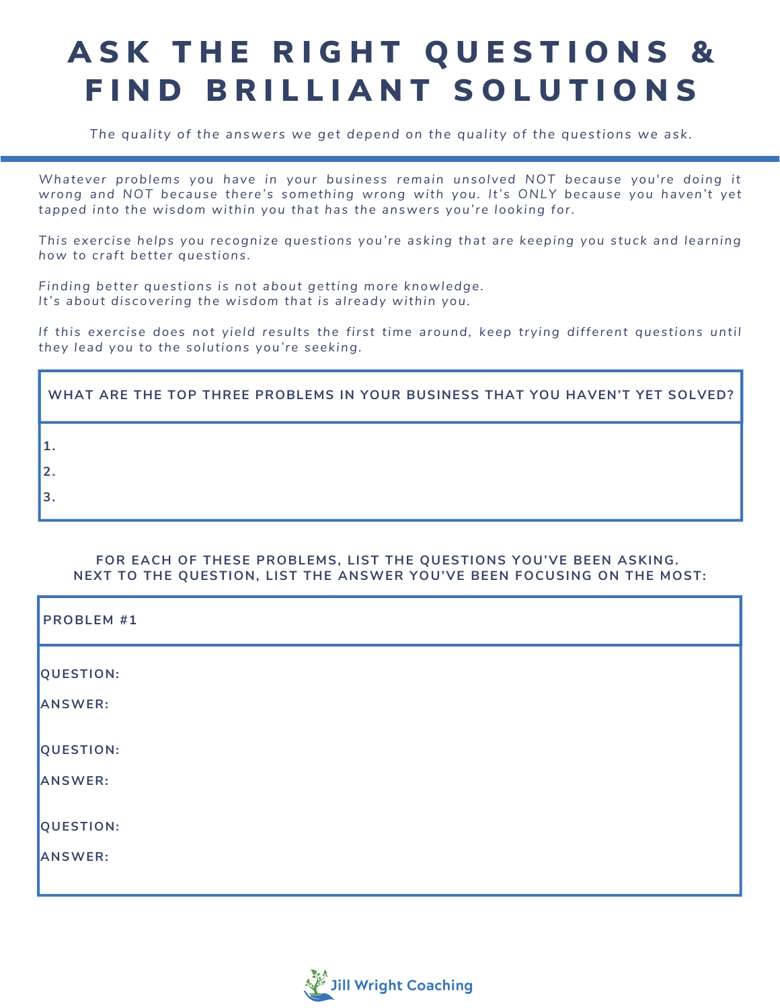# A SK THE RIGHT QUESTIONS & FIND BRILLIANT SOLUTIONS

*The quality of the answers we get depend on the quality of the questions we ask.*

*Whatever problems you have in your business remain unsolved NOT because you're doing it wrong and NOT because there's something wrong with you. It's ONLY because you haven't yet tapped into the wisdom within you that has the answers you're looking for.* 

*This exercise helps you recognize questions you're asking that are keeping you stuck and learning how to craft better questions.*

*Finding better questions is not about getting more knowledge. It's about discovering the wisdom that is already within you.* 

*If this exercise does not yield results the first time around, keep trying different questions until they lead you to the solutions you're seeking.*

| WHAT ARE THE TOP THREE PROBLEMS IN YOUR BUSINESS THAT YOU HAVEN'T YET SOLVED? |
|-------------------------------------------------------------------------------|
|                                                                               |
|                                                                               |
|                                                                               |

#### **FOR EACH OF THESE PROBLEMS, LIST THE QUESTIONS YOU'VE BEEN ASKING. NEXT TO THE QUESTION, LIST THE ANSWER YOU'VE BEEN FOCUSING ON THE MOST:**

| <b>PROBLEM #1</b>    |
|----------------------|
| QUESTION:<br>ANSWER: |
| QUESTION:            |
| ANSWER:<br>QUESTION: |
| ANSWER:              |

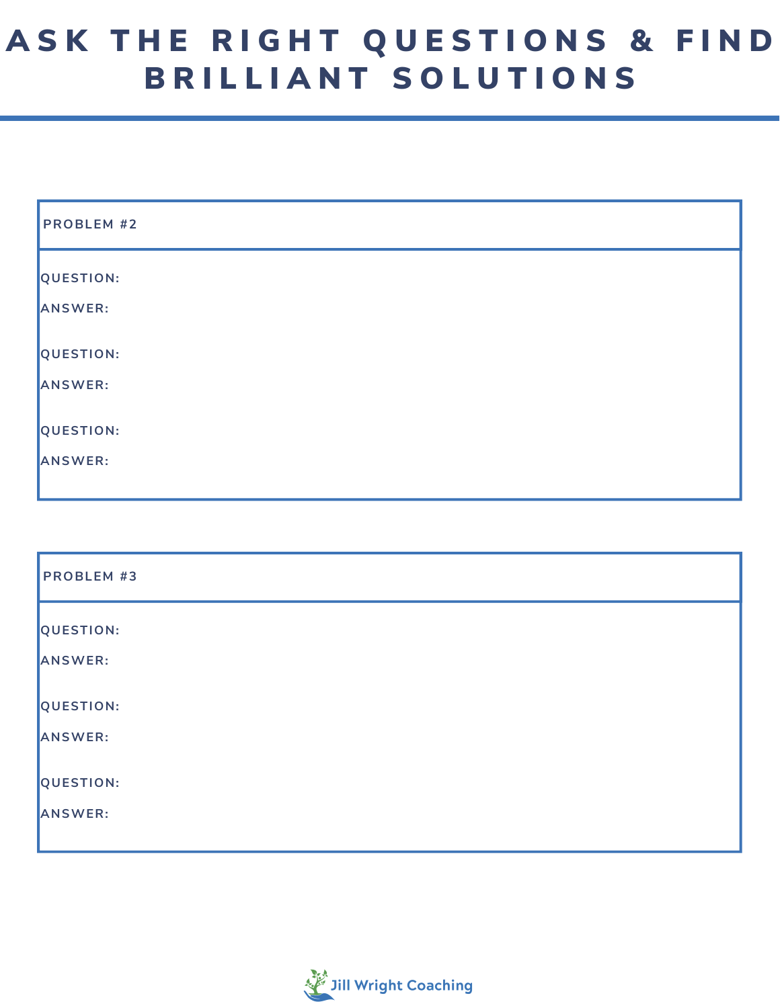## ASK THE RIGHT QUESTIONS & FIND B R I L L I A N T S O L U T I O N S

| <b>PROBLEM #2</b> |
|-------------------|
| QUESTION:         |
| ANSWER:           |
| QUESTION:         |
| ANSWER:           |
| QUESTION:         |
| ANSWER:           |

| <b>PROBLEM #3</b> |  |
|-------------------|--|
| QUESTION:         |  |
| ANSWER:           |  |
| QUESTION:         |  |
| ANSWER:           |  |
| QUESTION:         |  |
| ANSWER:           |  |